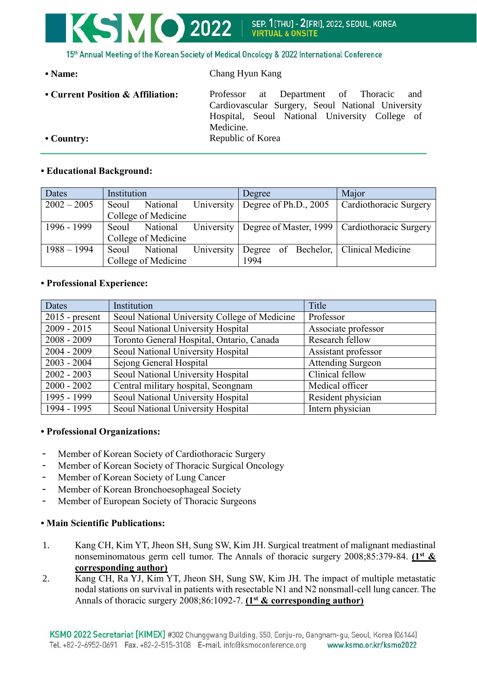

15th Annual Meeting of the Korean Society of Medical Oncology & 2022 International Conference

| • Name:                           | Chang Hyun Kang                                                                                                                                                |  |  |  |
|-----------------------------------|----------------------------------------------------------------------------------------------------------------------------------------------------------------|--|--|--|
| • Current Position & Affiliation: | Professor at Department of Thoracic<br>and<br>Cardiovascular Surgery, Seoul National University<br>Hospital, Seoul National University College of<br>Medicine. |  |  |  |
| $\cdot$ Country:                  | Republic of Korea                                                                                                                                              |  |  |  |

# **• Educational Background:**

| Dates         | Institution |                     |                                          | Degree |  | Major                                                        |
|---------------|-------------|---------------------|------------------------------------------|--------|--|--------------------------------------------------------------|
| $2002 - 2005$ | Seoul       | National            | University $\vert$ Degree of Ph.D., 2005 |        |  | Cardiothoracic Surgery                                       |
|               |             | College of Medicine |                                          |        |  |                                                              |
| 1996 - 1999   | Seoul       | National            |                                          |        |  | University   Degree of Master, 1999   Cardiothoracic Surgery |
|               |             | College of Medicine |                                          |        |  |                                                              |
| $1988 - 1994$ | Seoul       | National            | University                               |        |  | Degree of Bechelor,   Clinical Medicine                      |
|               |             | College of Medicine |                                          | 1994   |  |                                                              |

### **• Professional Experience:**

| Dates            | Institution                                   | Title                    |
|------------------|-----------------------------------------------|--------------------------|
| $2015$ - present | Seoul National University College of Medicine | Professor                |
| $2009 - 2015$    | Seoul National University Hospital            | Associate professor      |
| $2008 - 2009$    | Toronto General Hospital, Ontario, Canada     | Research fellow          |
| $2004 - 2009$    | Seoul National University Hospital            | Assistant professor      |
| $2003 - 2004$    | Sejong General Hospital                       | <b>Attending Surgeon</b> |
| $2002 - 2003$    | Seoul National University Hospital            | Clinical fellow          |
| $2000 - 2002$    | Central military hospital, Seongnam           | Medical officer          |
| 1995 - 1999      | Seoul National University Hospital            | Resident physician       |
| 1994 - 1995      | Seoul National University Hospital            | Intern physician         |

#### **• Professional Organizations:**

- Member of Korean Society of Cardiothoracic Surgery
- Member of Korean Society of Thoracic Surgical Oncology
- Member of Korean Society of Lung Cancer
- Member of Korean Bronchoesophageal Society
- Member of European Society of Thoracic Surgeons

# **• Main Scientific Publications:**

- 1. Kang CH, Kim YT, Jheon SH, Sung SW, Kim JH. Surgical treatment of malignant mediastinal nonseminomatous germ cell tumor. The Annals of thoracic surgery 2008;85:379-84. **(1st & corresponding author)**
- 2. Kang CH, Ra YJ, Kim YT, Jheon SH, Sung SW, Kim JH. The impact of multiple metastatic nodal stations on survival in patients with resectable N1 and N2 nonsmall-cell lung cancer. The Annals of thoracic surgery 2008;86:1092-7. **(1st & corresponding author)**